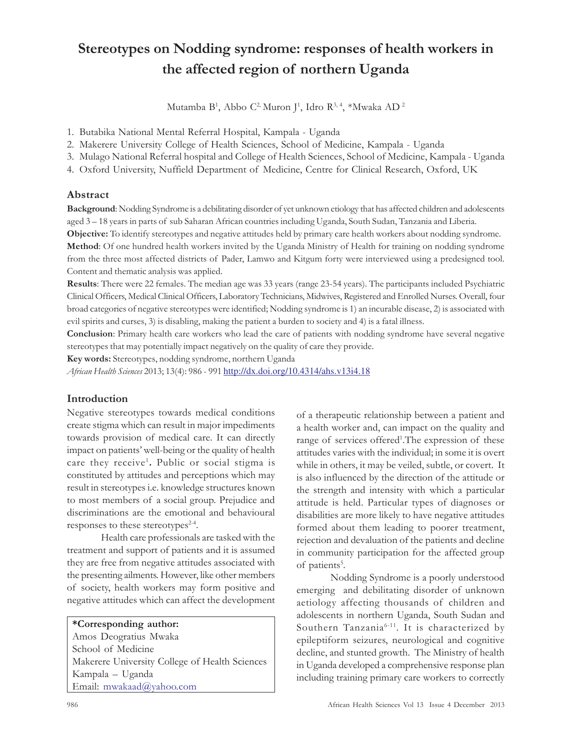# Stereotypes on Nodding syndrome: responses of health workers in the affected region of northern Uganda

Mutamba B<sup>1</sup>, Abbo C<sup>2,</sup> Muron J<sup>1</sup>, Idro R<sup>3, 4</sup>, \*Mwaka AD <sup>2</sup>

1. Butabika National Mental Referral Hospital, Kampala - Uganda

2. Makerere University College of Health Sciences, School of Medicine, Kampala - Uganda

3. Mulago National Referral hospital and College of Health Sciences, School of Medicine, Kampala - Uganda

4. Oxford University, Nuffield Department of Medicine, Centre for Clinical Research, Oxford, UK

## Abstract

Background: Nodding Syndrome is a debilitating disorder of yet unknown etiology that has affected children and adolescents aged 3 – 18 years in parts of sub Saharan African countries including Uganda, South Sudan, Tanzania and Liberia. Objective: To identify stereotypes and negative attitudes held by primary care health workers about nodding syndrome. Method: Of one hundred health workers invited by the Uganda Ministry of Health for training on nodding syndrome from the three most affected districts of Pader, Lamwo and Kitgum forty were interviewed using a predesigned tool. Content and thematic analysis was applied.

Results: There were 22 females. The median age was 33 years (range 23-54 years). The participants included Psychiatric Clinical Officers, Medical Clinical Officers, Laboratory Technicians, Midwives, Registered and Enrolled Nurses. Overall, four broad categories of negative stereotypes were identified; Nodding syndrome is 1) an incurable disease, 2) is associated with evil spirits and curses, 3) is disabling, making the patient a burden to society and 4) is a fatal illness.

Conclusion: Primary health care workers who lead the care of patients with nodding syndrome have several negative stereotypes that may potentially impact negatively on the quality of care they provide.

Key words: Stereotypes, nodding syndrome, northern Uganda

African Health Sciences 2013; 13(4): 986 - 991 http://dx.doi.org/10.4314/ahs.v13i4.18

# Introduction

Negative stereotypes towards medical conditions create stigma which can result in major impediments towards provision of medical care. It can directly impact on patients' well-being or the quality of health care they receive<sup>1</sup>. Public or social stigma is constituted by attitudes and perceptions which may result in stereotypes i.e. knowledge structures known to most members of a social group. Prejudice and discriminations are the emotional and behavioural responses to these stereotypes<sup>2-4</sup>.

Health care professionals are tasked with the treatment and support of patients and it is assumed they are free from negative attitudes associated with the presenting ailments. However, like other members of society, health workers may form positive and negative attitudes which can affect the development

# \*Corresponding author:

Amos Deogratius Mwaka School of Medicine Makerere University College of Health Sciences Kampala – Uganda Email: mwakaad@yahoo.com

of a therapeutic relationship between a patient and a health worker and, can impact on the quality and range of services offered<sup>1</sup>. The expression of these attitudes varies with the individual; in some it is overt while in others, it may be veiled, subtle, or covert. It is also influenced by the direction of the attitude or the strength and intensity with which a particular attitude is held. Particular types of diagnoses or disabilities are more likely to have negative attitudes formed about them leading to poorer treatment, rejection and devaluation of the patients and decline in community participation for the affected group of patients<sup>5</sup>.

Nodding Syndrome is a poorly understood emerging and debilitating disorder of unknown aetiology affecting thousands of children and adolescents in northern Uganda, South Sudan and Southern Tanzania6-11 . It is characterized by epileptiform seizures, neurological and cognitive decline, and stunted growth. The Ministry of health in Uganda developed a comprehensive response plan including training primary care workers to correctly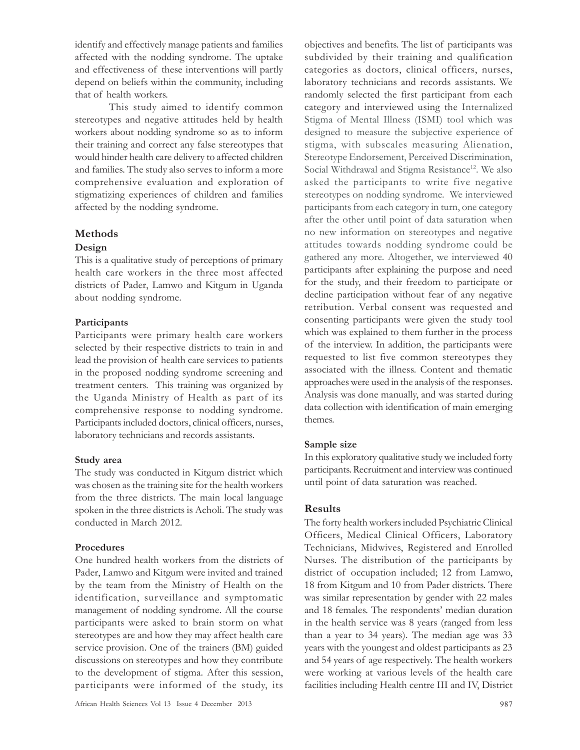identify and effectively manage patients and families affected with the nodding syndrome. The uptake and effectiveness of these interventions will partly depend on beliefs within the community, including that of health workers.

This study aimed to identify common stereotypes and negative attitudes held by health workers about nodding syndrome so as to inform their training and correct any false stereotypes that would hinder health care delivery to affected children and families. The study also serves to inform a more comprehensive evaluation and exploration of stigmatizing experiences of children and families affected by the nodding syndrome.

## Methods

#### Design

This is a qualitative study of perceptions of primary health care workers in the three most affected districts of Pader, Lamwo and Kitgum in Uganda about nodding syndrome.

## Participants

Participants were primary health care workers selected by their respective districts to train in and lead the provision of health care services to patients in the proposed nodding syndrome screening and treatment centers. This training was organized by the Uganda Ministry of Health as part of its comprehensive response to nodding syndrome. Participants included doctors, clinical officers, nurses, laboratory technicians and records assistants.

## Study area

The study was conducted in Kitgum district which was chosen as the training site for the health workers from the three districts. The main local language spoken in the three districts is Acholi. The study was conducted in March 2012.

# Procedures

One hundred health workers from the districts of Pader, Lamwo and Kitgum were invited and trained by the team from the Ministry of Health on the identification, surveillance and symptomatic management of nodding syndrome. All the course participants were asked to brain storm on what stereotypes are and how they may affect health care service provision. One of the trainers (BM) guided discussions on stereotypes and how they contribute to the development of stigma. After this session, participants were informed of the study, its objectives and benefits. The list of participants was subdivided by their training and qualification categories as doctors, clinical officers, nurses, laboratory technicians and records assistants. We randomly selected the first participant from each category and interviewed using the Internalized Stigma of Mental Illness (ISMI) tool which was designed to measure the subjective experience of stigma, with subscales measuring Alienation, Stereotype Endorsement, Perceived Discrimination, Social Withdrawal and Stigma Resistance<sup>12</sup>. We also asked the participants to write five negative stereotypes on nodding syndrome. We interviewed participants from each category in turn, one category after the other until point of data saturation when no new information on stereotypes and negative attitudes towards nodding syndrome could be gathered any more. Altogether, we interviewed 40 participants after explaining the purpose and need for the study, and their freedom to participate or decline participation without fear of any negative retribution. Verbal consent was requested and consenting participants were given the study tool which was explained to them further in the process of the interview. In addition, the participants were requested to list five common stereotypes they associated with the illness. Content and thematic approaches were used in the analysis of the responses. Analysis was done manually, and was started during data collection with identification of main emerging themes.

# Sample size

In this exploratory qualitative study we included forty participants. Recruitment and interview was continued until point of data saturation was reached.

# Results

The forty health workers included Psychiatric Clinical Officers, Medical Clinical Officers, Laboratory Technicians, Midwives, Registered and Enrolled Nurses. The distribution of the participants by district of occupation included; 12 from Lamwo, 18 from Kitgum and 10 from Pader districts. There was similar representation by gender with 22 males and 18 females. The respondents' median duration in the health service was 8 years (ranged from less than a year to 34 years). The median age was 33 years with the youngest and oldest participants as 23 and 54 years of age respectively. The health workers were working at various levels of the health care facilities including Health centre III and IV, District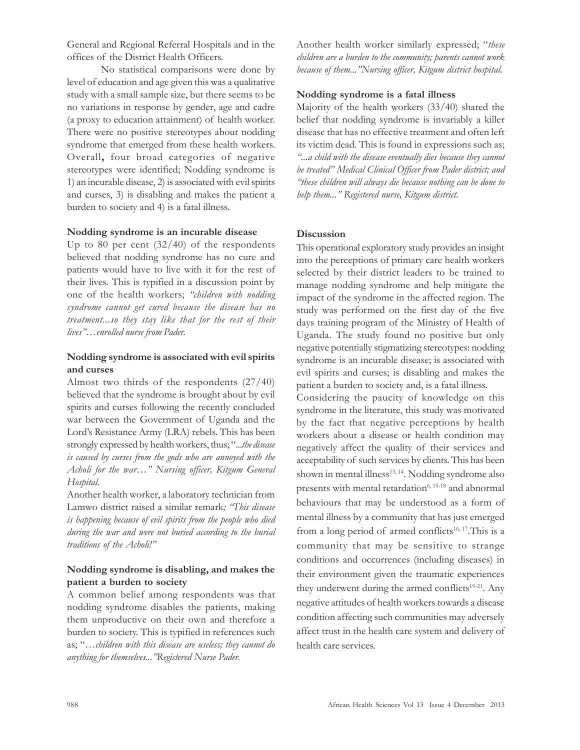General and Regional Referral Hospitals and in the offices of the District Health Officers.

No statistical comparisons were done by level of education and age given this was a qualitative study with a small sample size, but there seems to be no variations in response by gender, age and cadre (a proxy to education attainment) of health worker. There were no positive stereotypes about nodding syndrome that emerged from these health workers. Overall, four broad categories of negative stereotypes were identified; Nodding syndrome is 1) an incurable disease, 2) is associated with evil spirits and curses, 3) is disabling and makes the patient a burden to society and 4) is a fatal illness.

#### Nodding syndrome is an incurable disease

Up to 80 per cent (32/40) of the respondents believed that nodding syndrome has no cure and patients would have to live with it for the rest of their lives. This is typified in a discussion point by one of the health workers; "children with nodding syndrome cannot get cured because the disease has no treatment...so they stay like that for the rest of their lives"…enrolled nurse from Pader.

## Nodding syndrome is associated with evil spirits and curses

Almost two thirds of the respondents (27/40) believed that the syndrome is brought about by evil spirits and curses following the recently concluded war between the Government of Uganda and the Lord's Resistance Army (LRA) rebels. This has been strongly expressed by health workers, thus; "...the disease is caused by curses from the gods who are annoyed with the Acholi for the war…" Nursing officer, Kitgum General Hospital.

Another health worker, a laboratory technician from Lamwo district raised a similar remark; "This disease is happening because of evil spirits from the people who died during the war and were not buried according to the burial traditions of the Acholi!"

## Nodding syndrome is disabling, and makes the patient a burden to society

A common belief among respondents was that nodding syndrome disables the patients, making them unproductive on their own and therefore a burden to society. This is typified in references such as; "…children with this disease are useless; they cannot do anything for themselves..."Registered Nurse Pader.

Another health worker similarly expressed; "these children are a burden to the community; parents cannot work because of them..."Nursing officer, Kitgum district hospital.

#### Nodding syndrome is a fatal illness

Majority of the health workers (33/40) shared the belief that nodding syndrome is invariably a killer disease that has no effective treatment and often left its victim dead. This is found in expressions such as; "...a child with the disease eventually dies because they cannot be treated" Medical Clinical Officer from Pader district; and "these children will always die because nothing can be done to help them..." Registered nurse, Kitgum district.

#### **Discussion**

This operational exploratory study provides an insight into the perceptions of primary care health workers selected by their district leaders to be trained to manage nodding syndrome and help mitigate the impact of the syndrome in the affected region. The study was performed on the first day of the five days training program of the Ministry of Health of Uganda. The study found no positive but only negative potentially stigmatizing stereotypes: nodding syndrome is an incurable disease; is associated with evil spirits and curses; is disabling and makes the patient a burden to society and, is a fatal illness.

Considering the paucity of knowledge on this syndrome in the literature, this study was motivated by the fact that negative perceptions by health workers about a disease or health condition may negatively affect the quality of their services and acceptability of such services by clients. This has been shown in mental illness<sup>13, 14</sup>. Nodding syndrome also presents with mental retardation<sup>6, 15-18</sup> and abnormal behaviours that may be understood as a form of mental illness by a community that has just emerged from a long period of armed conflicts<sup>16, 17</sup>. This is a community that may be sensitive to strange conditions and occurrences (including diseases) in their environment given the traumatic experiences they underwent during the armed conflicts<sup>19-21</sup>. Any negative attitudes of health workers towards a disease condition affecting such communities may adversely affect trust in the health care system and delivery of health care services.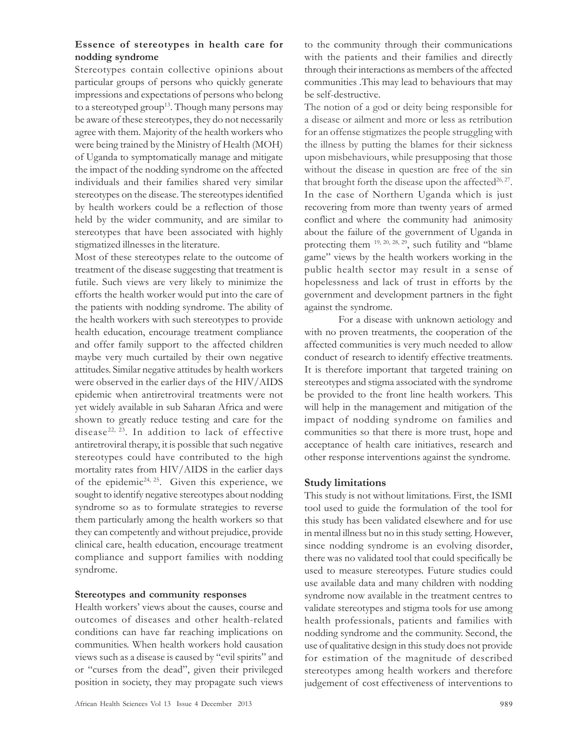## Essence of stereotypes in health care for nodding syndrome

Stereotypes contain collective opinions about particular groups of persons who quickly generate impressions and expectations of persons who belong to a stereotyped group<sup>13</sup>. Though many persons may be aware of these stereotypes, they do not necessarily agree with them. Majority of the health workers who were being trained by the Ministry of Health (MOH) of Uganda to symptomatically manage and mitigate the impact of the nodding syndrome on the affected individuals and their families shared very similar stereotypes on the disease. The stereotypes identified by health workers could be a reflection of those held by the wider community, and are similar to stereotypes that have been associated with highly stigmatized illnesses in the literature.

Most of these stereotypes relate to the outcome of treatment of the disease suggesting that treatment is futile. Such views are very likely to minimize the efforts the health worker would put into the care of the patients with nodding syndrome. The ability of the health workers with such stereotypes to provide health education, encourage treatment compliance and offer family support to the affected children maybe very much curtailed by their own negative attitudes. Similar negative attitudes by health workers were observed in the earlier days of the HIV/AIDS epidemic when antiretroviral treatments were not yet widely available in sub Saharan Africa and were shown to greatly reduce testing and care for the disease<sup>22, 23</sup>. In addition to lack of effective antiretroviral therapy, it is possible that such negative stereotypes could have contributed to the high mortality rates from HIV/AIDS in the earlier days of the epidemic<sup>24, 25</sup>. Given this experience, we sought to identify negative stereotypes about nodding syndrome so as to formulate strategies to reverse them particularly among the health workers so that they can competently and without prejudice, provide clinical care, health education, encourage treatment compliance and support families with nodding syndrome.

#### Stereotypes and community responses

Health workers' views about the causes, course and outcomes of diseases and other health-related conditions can have far reaching implications on communities. When health workers hold causation views such as a disease is caused by "evil spirits" and or "curses from the dead", given their privileged position in society, they may propagate such views

to the community through their communications with the patients and their families and directly through their interactions as members of the affected communities .This may lead to behaviours that may be self-destructive.

The notion of a god or deity being responsible for a disease or ailment and more or less as retribution for an offense stigmatizes the people struggling with the illness by putting the blames for their sickness upon misbehaviours, while presupposing that those without the disease in question are free of the sin that brought forth the disease upon the affected<sup>26,27</sup>. In the case of Northern Uganda which is just recovering from more than twenty years of armed conflict and where the community had animosity about the failure of the government of Uganda in protecting them 19, 20, 28, 29, such futility and "blame game" views by the health workers working in the public health sector may result in a sense of hopelessness and lack of trust in efforts by the government and development partners in the fight against the syndrome.

For a disease with unknown aetiology and with no proven treatments, the cooperation of the affected communities is very much needed to allow conduct of research to identify effective treatments. It is therefore important that targeted training on stereotypes and stigma associated with the syndrome be provided to the front line health workers. This will help in the management and mitigation of the impact of nodding syndrome on families and communities so that there is more trust, hope and acceptance of health care initiatives, research and other response interventions against the syndrome.

## Study limitations

This study is not without limitations. First, the ISMI tool used to guide the formulation of the tool for this study has been validated elsewhere and for use in mental illness but no in this study setting. However, since nodding syndrome is an evolving disorder, there was no validated tool that could specifically be used to measure stereotypes. Future studies could use available data and many children with nodding syndrome now available in the treatment centres to validate stereotypes and stigma tools for use among health professionals, patients and families with nodding syndrome and the community. Second, the use of qualitative design in this study does not provide for estimation of the magnitude of described stereotypes among health workers and therefore judgement of cost effectiveness of interventions to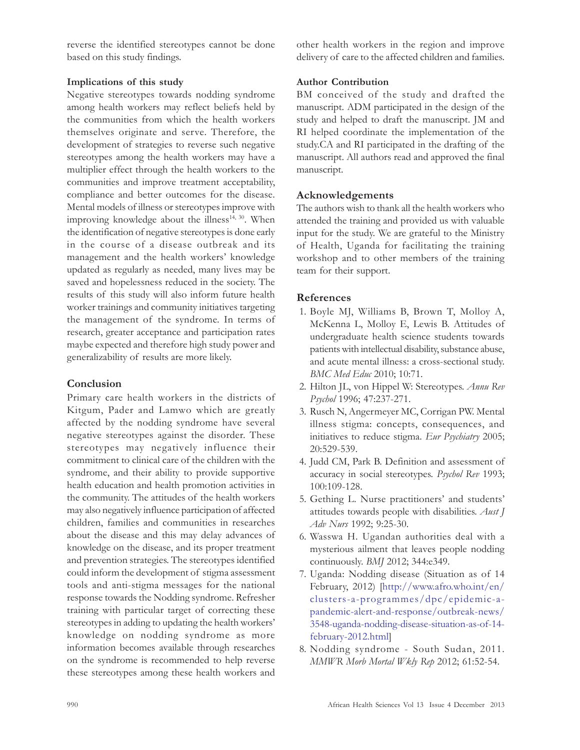reverse the identified stereotypes cannot be done based on this study findings.

#### Implications of this study

Negative stereotypes towards nodding syndrome among health workers may reflect beliefs held by the communities from which the health workers themselves originate and serve. Therefore, the development of strategies to reverse such negative stereotypes among the health workers may have a multiplier effect through the health workers to the communities and improve treatment acceptability, compliance and better outcomes for the disease. Mental models of illness or stereotypes improve with improving knowledge about the illness<sup>14, 30</sup>. When the identification of negative stereotypes is done early in the course of a disease outbreak and its management and the health workers' knowledge updated as regularly as needed, many lives may be saved and hopelessness reduced in the society. The results of this study will also inform future health worker trainings and community initiatives targeting the management of the syndrome. In terms of research, greater acceptance and participation rates maybe expected and therefore high study power and generalizability of results are more likely.

# Conclusion

Primary care health workers in the districts of Kitgum, Pader and Lamwo which are greatly affected by the nodding syndrome have several negative stereotypes against the disorder. These stereotypes may negatively influence their commitment to clinical care of the children with the syndrome, and their ability to provide supportive health education and health promotion activities in the community. The attitudes of the health workers may also negatively influence participation of affected children, families and communities in researches about the disease and this may delay advances of knowledge on the disease, and its proper treatment and prevention strategies. The stereotypes identified could inform the development of stigma assessment tools and anti-stigma messages for the national response towards the Nodding syndrome. Refresher training with particular target of correcting these stereotypes in adding to updating the health workers' knowledge on nodding syndrome as more information becomes available through researches on the syndrome is recommended to help reverse these stereotypes among these health workers and

other health workers in the region and improve delivery of care to the affected children and families.

#### Author Contribution

BM conceived of the study and drafted the manuscript. ADM participated in the design of the study and helped to draft the manuscript. JM and RI helped coordinate the implementation of the study.CA and RI participated in the drafting of the manuscript. All authors read and approved the final manuscript.

## Acknowledgements

The authors wish to thank all the health workers who attended the training and provided us with valuable input for the study. We are grateful to the Ministry of Health, Uganda for facilitating the training workshop and to other members of the training team for their support.

## References

- 1. Boyle MJ, Williams B, Brown T, Molloy A, McKenna L, Molloy E, Lewis B. Attitudes of undergraduate health science students towards patients with intellectual disability, substance abuse, and acute mental illness: a cross-sectional study. BMC Med Educ 2010; 10:71.
- 2. Hilton JL, von Hippel W: Stereotypes. Annu Rev Psychol 1996; 47:237-271.
- 3. Rusch N, Angermeyer MC, Corrigan PW. Mental illness stigma: concepts, consequences, and initiatives to reduce stigma. Eur Psychiatry 2005; 20:529-539.
- 4. Judd CM, Park B. Definition and assessment of accuracy in social stereotypes. Psychol Rev 1993; 100:109-128.
- 5. Gething L. Nurse practitioners' and students' attitudes towards people with disabilities. Aust J Adv Nurs 1992; 9:25-30.
- 6. Wasswa H. Ugandan authorities deal with a mysterious ailment that leaves people nodding continuously. BMJ 2012; 344:e349.
- 7. Uganda: Nodding disease (Situation as of 14 February, 2012) [http://www.afro.who.int/en/ clusters-a-programmes/dpc/epidemic-apandemic-alert-and-response/outbreak-news/ 3548-uganda-nodding-disease-situation-as-of-14 february-2012.html]
- 8. Nodding syndrome South Sudan, 2011. MMWR Morb Mortal Wkly Rep 2012; 61:52-54.